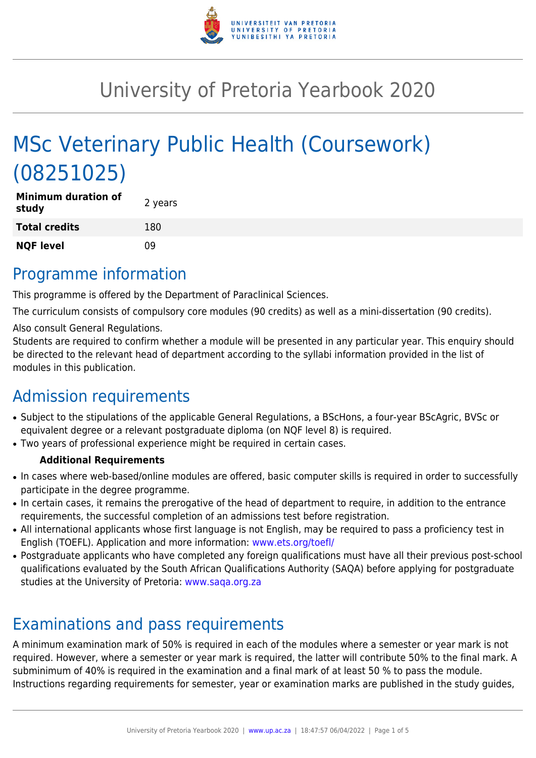

# University of Pretoria Yearbook 2020

# MSc Veterinary Public Health (Coursework) (08251025)

| <b>Minimum duration of</b><br>study | 2 years |
|-------------------------------------|---------|
| <b>Total credits</b>                | 180     |
| <b>NQF level</b>                    | n۹      |

# Programme information

This programme is offered by the Department of Paraclinical Sciences.

The curriculum consists of compulsory core modules (90 credits) as well as a mini-dissertation (90 credits).

Also consult General Regulations.

Students are required to confirm whether a module will be presented in any particular year. This enquiry should be directed to the relevant head of department according to the syllabi information provided in the list of modules in this publication.

# Admission requirements

- Subject to the stipulations of the applicable General Regulations, a BScHons, a four-year BScAgric, BVSc or equivalent degree or a relevant postgraduate diploma (on NQF level 8) is required.
- Two years of professional experience might be required in certain cases.

### **Additional Requirements**

- In cases where web-based/online modules are offered, basic computer skills is required in order to successfully participate in the degree programme.
- In certain cases, it remains the prerogative of the head of department to require, in addition to the entrance requirements, the successful completion of an admissions test before registration.
- All international applicants whose first language is not English, may be required to pass a proficiency test in English (TOEFL). Application and more information: [www.ets.org/toefl/](http://www.ets.org/toefl/)
- Postgraduate applicants who have completed any foreign qualifications must have all their previous post-school qualifications evaluated by the South African Qualifications Authority (SAQA) before applying for postgraduate studies at the University of Pretoria: [www.saqa.org.za](http://www.saqa.org.za)

# Examinations and pass requirements

A minimum examination mark of 50% is required in each of the modules where a semester or year mark is not required. However, where a semester or year mark is required, the latter will contribute 50% to the final mark. A subminimum of 40% is required in the examination and a final mark of at least 50 % to pass the module. Instructions regarding requirements for semester, year or examination marks are published in the study guides,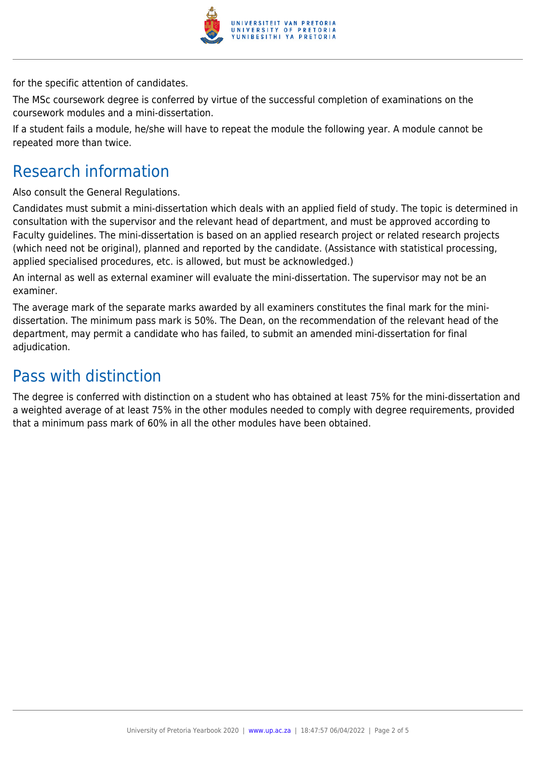

for the specific attention of candidates.

The MSc coursework degree is conferred by virtue of the successful completion of examinations on the coursework modules and a mini-dissertation.

If a student fails a module, he/she will have to repeat the module the following year. A module cannot be repeated more than twice.

# Research information

Also consult the General Regulations.

Candidates must submit a mini-dissertation which deals with an applied field of study. The topic is determined in consultation with the supervisor and the relevant head of department, and must be approved according to Faculty guidelines. The mini-dissertation is based on an applied research project or related research projects (which need not be original), planned and reported by the candidate. (Assistance with statistical processing, applied specialised procedures, etc. is allowed, but must be acknowledged.)

An internal as well as external examiner will evaluate the mini-dissertation. The supervisor may not be an examiner.

The average mark of the separate marks awarded by all examiners constitutes the final mark for the minidissertation. The minimum pass mark is 50%. The Dean, on the recommendation of the relevant head of the department, may permit a candidate who has failed, to submit an amended mini-dissertation for final adjudication.

# Pass with distinction

The degree is conferred with distinction on a student who has obtained at least 75% for the mini-dissertation and a weighted average of at least 75% in the other modules needed to comply with degree requirements, provided that a minimum pass mark of 60% in all the other modules have been obtained.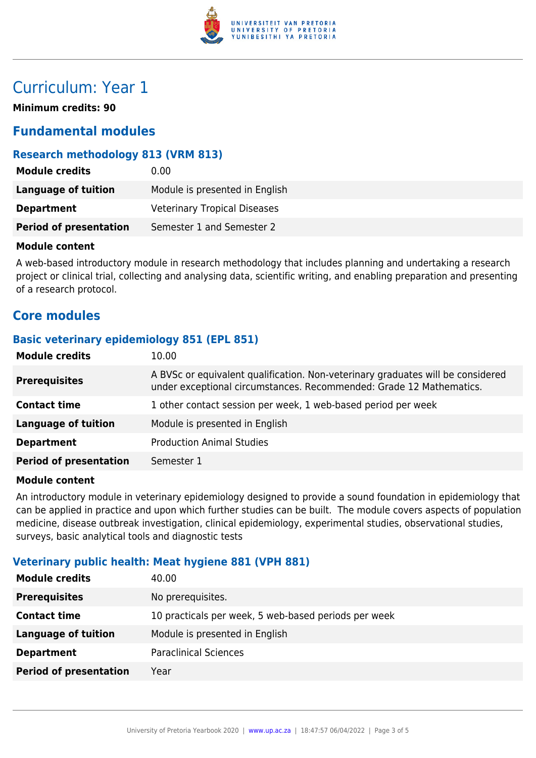

# Curriculum: Year 1

**Minimum credits: 90**

## **Fundamental modules**

### **Research methodology 813 (VRM 813)**

| <b>Module credits</b>         | 0.00                                |
|-------------------------------|-------------------------------------|
| <b>Language of tuition</b>    | Module is presented in English      |
| <b>Department</b>             | <b>Veterinary Tropical Diseases</b> |
| <b>Period of presentation</b> | Semester 1 and Semester 2           |

#### **Module content**

A web-based introductory module in research methodology that includes planning and undertaking a research project or clinical trial, collecting and analysing data, scientific writing, and enabling preparation and presenting of a research protocol.

## **Core modules**

### **Basic veterinary epidemiology 851 (EPL 851)**

| <b>Module credits</b>         | 10.00                                                                                                                                                  |
|-------------------------------|--------------------------------------------------------------------------------------------------------------------------------------------------------|
| <b>Prerequisites</b>          | A BVSc or equivalent qualification. Non-veterinary graduates will be considered<br>under exceptional circumstances. Recommended: Grade 12 Mathematics. |
| <b>Contact time</b>           | 1 other contact session per week, 1 web-based period per week                                                                                          |
| <b>Language of tuition</b>    | Module is presented in English                                                                                                                         |
| <b>Department</b>             | <b>Production Animal Studies</b>                                                                                                                       |
| <b>Period of presentation</b> | Semester 1                                                                                                                                             |

### **Module content**

An introductory module in veterinary epidemiology designed to provide a sound foundation in epidemiology that can be applied in practice and upon which further studies can be built. The module covers aspects of population medicine, disease outbreak investigation, clinical epidemiology, experimental studies, observational studies, surveys, basic analytical tools and diagnostic tests

### **Veterinary public health: Meat hygiene 881 (VPH 881)**

| <b>Module credits</b>         | 40.00                                                |
|-------------------------------|------------------------------------------------------|
| <b>Prerequisites</b>          | No prerequisites.                                    |
| <b>Contact time</b>           | 10 practicals per week, 5 web-based periods per week |
| <b>Language of tuition</b>    | Module is presented in English                       |
| <b>Department</b>             | <b>Paraclinical Sciences</b>                         |
| <b>Period of presentation</b> | Year                                                 |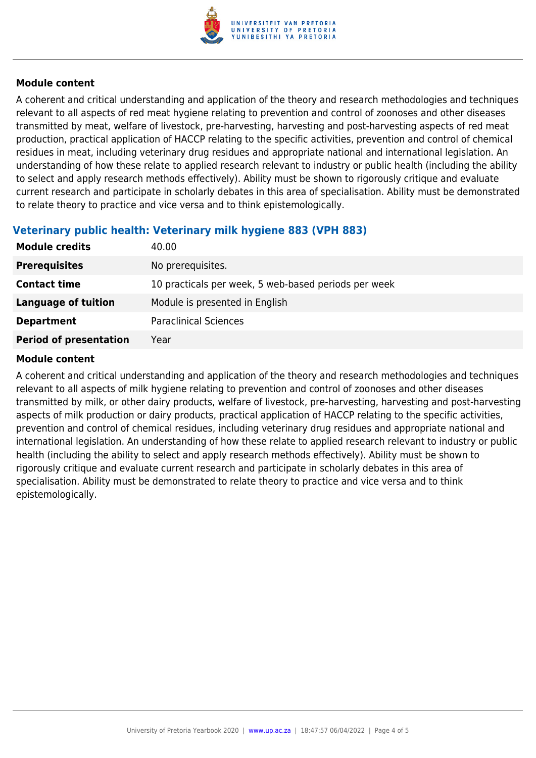

### **Module content**

A coherent and critical understanding and application of the theory and research methodologies and techniques relevant to all aspects of red meat hygiene relating to prevention and control of zoonoses and other diseases transmitted by meat, welfare of livestock, pre-harvesting, harvesting and post-harvesting aspects of red meat production, practical application of HACCP relating to the specific activities, prevention and control of chemical residues in meat, including veterinary drug residues and appropriate national and international legislation. An understanding of how these relate to applied research relevant to industry or public health (including the ability to select and apply research methods effectively). Ability must be shown to rigorously critique and evaluate current research and participate in scholarly debates in this area of specialisation. Ability must be demonstrated to relate theory to practice and vice versa and to think epistemologically.

### **Veterinary public health: Veterinary milk hygiene 883 (VPH 883)**

| <b>Module credits</b>         | 40.00                                                |
|-------------------------------|------------------------------------------------------|
| <b>Prerequisites</b>          | No prerequisites.                                    |
| <b>Contact time</b>           | 10 practicals per week, 5 web-based periods per week |
| <b>Language of tuition</b>    | Module is presented in English                       |
| <b>Department</b>             | <b>Paraclinical Sciences</b>                         |
| <b>Period of presentation</b> | Year                                                 |

### **Module content**

A coherent and critical understanding and application of the theory and research methodologies and techniques relevant to all aspects of milk hygiene relating to prevention and control of zoonoses and other diseases transmitted by milk, or other dairy products, welfare of livestock, pre-harvesting, harvesting and post-harvesting aspects of milk production or dairy products, practical application of HACCP relating to the specific activities, prevention and control of chemical residues, including veterinary drug residues and appropriate national and international legislation. An understanding of how these relate to applied research relevant to industry or public health (including the ability to select and apply research methods effectively). Ability must be shown to rigorously critique and evaluate current research and participate in scholarly debates in this area of specialisation. Ability must be demonstrated to relate theory to practice and vice versa and to think epistemologically.